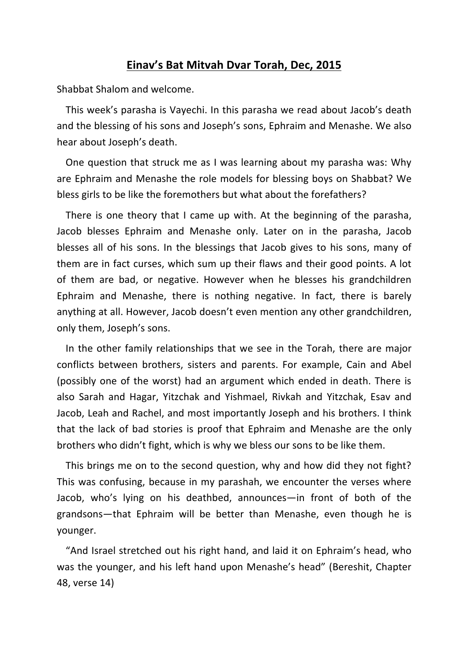## **Einav's Bat Mitvah Dvar Torah, Dec, 2015**

Shabbat Shalom and welcome.

This week's parasha is Vayechi. In this parasha we read about Jacob's death and the blessing of his sons and Joseph's sons, Ephraim and Menashe. We also hear about Joseph's death.

One question that struck me as I was learning about my parasha was: Why are Ephraim and Menashe the role models for blessing boys on Shabbat? We bless girls to be like the foremothers but what about the forefathers?

There is one theory that I came up with. At the beginning of the parasha, Jacob blesses Ephraim and Menashe only. Later on in the parasha, Jacob blesses all of his sons. In the blessings that Jacob gives to his sons, many of them are in fact curses, which sum up their flaws and their good points. A lot of them are bad, or negative. However when he blesses his grandchildren Ephraim and Menashe, there is nothing negative. In fact, there is barely anything at all. However, Jacob doesn't even mention any other grandchildren, only them, Joseph's sons.

In the other family relationships that we see in the Torah, there are major conflicts between brothers, sisters and parents. For example, Cain and Abel (possibly one of the worst) had an argument which ended in death. There is also Sarah and Hagar, Yitzchak and Yishmael, Rivkah and Yitzchak, Esav and Jacob, Leah and Rachel, and most importantly Joseph and his brothers. I think that the lack of bad stories is proof that Ephraim and Menashe are the only brothers who didn't fight, which is why we bless our sons to be like them.

This brings me on to the second question, why and how did they not fight? This was confusing, because in my parashah, we encounter the verses where Jacob, who's lying on his deathbed, announces—in front of both of the grandsons—that Ephraim will be better than Menashe, even though he is younger. 

"And Israel stretched out his right hand, and laid it on Ephraim's head, who was the younger, and his left hand upon Menashe's head" (Bereshit, Chapter 48, verse 14)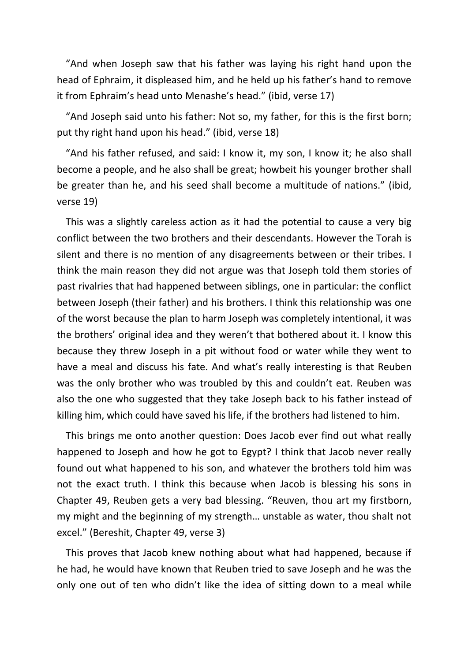"And when Joseph saw that his father was laying his right hand upon the head of Ephraim, it displeased him, and he held up his father's hand to remove it from Ephraim's head unto Menashe's head." (ibid, verse 17)

"And Joseph said unto his father: Not so, my father, for this is the first born; put thy right hand upon his head." (ibid, verse 18)

"And his father refused, and said: I know it, my son, I know it; he also shall become a people, and he also shall be great; howbeit his younger brother shall be greater than he, and his seed shall become a multitude of nations." (ibid, verse 19)

This was a slightly careless action as it had the potential to cause a very big conflict between the two brothers and their descendants. However the Torah is silent and there is no mention of any disagreements between or their tribes. I think the main reason they did not argue was that Joseph told them stories of past rivalries that had happened between siblings, one in particular: the conflict between Joseph (their father) and his brothers. I think this relationship was one of the worst because the plan to harm Joseph was completely intentional, it was the brothers' original idea and they weren't that bothered about it. I know this because they threw Joseph in a pit without food or water while they went to have a meal and discuss his fate. And what's really interesting is that Reuben was the only brother who was troubled by this and couldn't eat. Reuben was also the one who suggested that they take Joseph back to his father instead of killing him, which could have saved his life, if the brothers had listened to him.

This brings me onto another question: Does Jacob ever find out what really happened to Joseph and how he got to Egypt? I think that Jacob never really found out what happened to his son, and whatever the brothers told him was not the exact truth. I think this because when Jacob is blessing his sons in Chapter 49, Reuben gets a very bad blessing. "Reuven, thou art my firstborn, my might and the beginning of my strength... unstable as water, thou shalt not excel." (Bereshit, Chapter 49, verse 3)

This proves that Jacob knew nothing about what had happened, because if he had, he would have known that Reuben tried to save Joseph and he was the only one out of ten who didn't like the idea of sitting down to a meal while